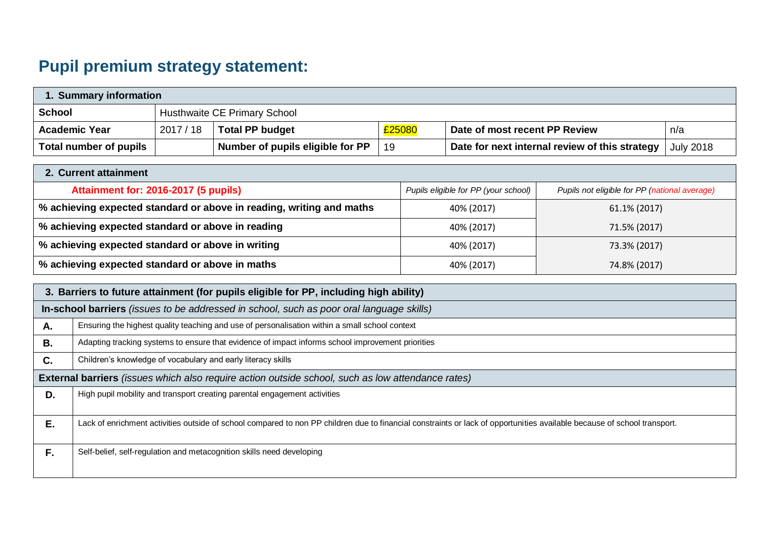# **Pupil premium strategy statement:**

| 1. Summary information |         |                                  |        |                                                |                  |  |
|------------------------|---------|----------------------------------|--------|------------------------------------------------|------------------|--|
| <b>School</b>          |         | Husthwaite CE Primary School     |        |                                                |                  |  |
| <b>Academic Year</b>   | 2017/18 | <b>Total PP budget</b>           | £25080 | Date of most recent PP Review                  | n/a              |  |
| Total number of pupils |         | Number of pupils eligible for PP | 19     | Date for next internal review of this strategy | <b>July 2018</b> |  |

| 2. Current attainment                                                |                                      |                                               |  |  |  |  |
|----------------------------------------------------------------------|--------------------------------------|-----------------------------------------------|--|--|--|--|
| Attainment for: 2016-2017 (5 pupils)                                 | Pupils eligible for PP (your school) | Pupils not eligible for PP (national average) |  |  |  |  |
| % achieving expected standard or above in reading, writing and maths | 40% (2017)                           | 61.1% (2017)                                  |  |  |  |  |
| % achieving expected standard or above in reading                    | 40% (2017)                           | 71.5% (2017)                                  |  |  |  |  |
| % achieving expected standard or above in writing                    | 40% (2017)                           | 73.3% (2017)                                  |  |  |  |  |
| % achieving expected standard or above in maths                      | 40% (2017)                           | 74.8% (2017)                                  |  |  |  |  |

|    | 3. Barriers to future attainment (for pupils eligible for PP, including high ability)                                                                                    |  |  |  |  |  |
|----|--------------------------------------------------------------------------------------------------------------------------------------------------------------------------|--|--|--|--|--|
|    | In-school barriers (issues to be addressed in school, such as poor oral language skills)                                                                                 |  |  |  |  |  |
| Α. | Ensuring the highest quality teaching and use of personalisation within a small school context                                                                           |  |  |  |  |  |
| В. | Adapting tracking systems to ensure that evidence of impact informs school improvement priorities                                                                        |  |  |  |  |  |
| C. | Children's knowledge of vocabulary and early literacy skills                                                                                                             |  |  |  |  |  |
|    | <b>External barriers</b> (issues which also require action outside school, such as low attendance rates)                                                                 |  |  |  |  |  |
| D. | High pupil mobility and transport creating parental engagement activities                                                                                                |  |  |  |  |  |
| Ε. | Lack of enrichment activities outside of school compared to non PP children due to financial constraints or lack of opportunities available because of school transport. |  |  |  |  |  |
| F. | Self-belief, self-regulation and metacognition skills need developing                                                                                                    |  |  |  |  |  |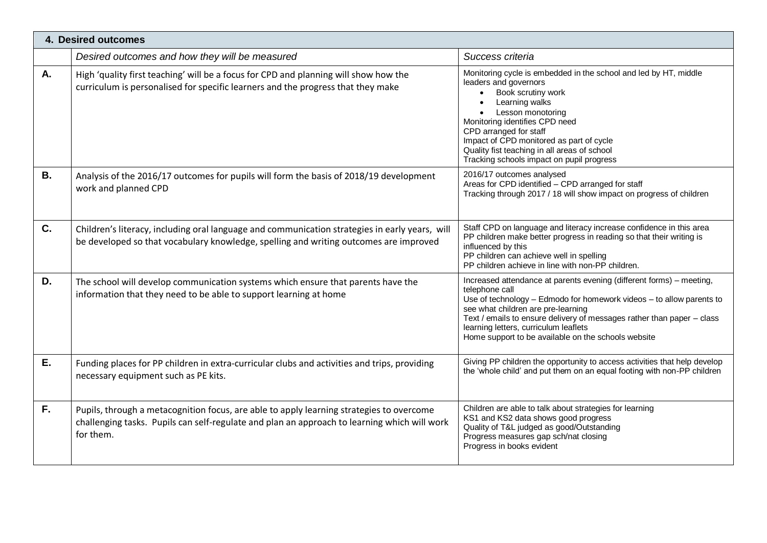|           | 4. Desired outcomes                                                                                                                                                                                   |                                                                                                                                                                                                                                                                                                                                                                                |
|-----------|-------------------------------------------------------------------------------------------------------------------------------------------------------------------------------------------------------|--------------------------------------------------------------------------------------------------------------------------------------------------------------------------------------------------------------------------------------------------------------------------------------------------------------------------------------------------------------------------------|
|           | Desired outcomes and how they will be measured                                                                                                                                                        | Success criteria                                                                                                                                                                                                                                                                                                                                                               |
| A.        | High 'quality first teaching' will be a focus for CPD and planning will show how the<br>curriculum is personalised for specific learners and the progress that they make                              | Monitoring cycle is embedded in the school and led by HT, middle<br>leaders and governors<br>Book scrutiny work<br>Learning walks<br>Lesson monotoring<br>Monitoring identifies CPD need<br>CPD arranged for staff<br>Impact of CPD monitored as part of cycle<br>Quality fist teaching in all areas of school<br>Tracking schools impact on pupil progress                    |
| <b>B.</b> | Analysis of the 2016/17 outcomes for pupils will form the basis of 2018/19 development<br>work and planned CPD                                                                                        | 2016/17 outcomes analysed<br>Areas for CPD identified - CPD arranged for staff<br>Tracking through 2017 / 18 will show impact on progress of children                                                                                                                                                                                                                          |
| $C_{1}$   | Children's literacy, including oral language and communication strategies in early years, will<br>be developed so that vocabulary knowledge, spelling and writing outcomes are improved               | Staff CPD on language and literacy increase confidence in this area<br>PP children make better progress in reading so that their writing is<br>influenced by this<br>PP children can achieve well in spelling<br>PP children achieve in line with non-PP children.                                                                                                             |
| D.        | The school will develop communication systems which ensure that parents have the<br>information that they need to be able to support learning at home                                                 | Increased attendance at parents evening (different forms) - meeting,<br>telephone call<br>Use of technology - Edmodo for homework videos - to allow parents to<br>see what children are pre-learning<br>Text / emails to ensure delivery of messages rather than paper - class<br>learning letters, curriculum leaflets<br>Home support to be available on the schools website |
| Ε.        | Funding places for PP children in extra-curricular clubs and activities and trips, providing<br>necessary equipment such as PE kits.                                                                  | Giving PP children the opportunity to access activities that help develop<br>the 'whole child' and put them on an equal footing with non-PP children                                                                                                                                                                                                                           |
| F.        | Pupils, through a metacognition focus, are able to apply learning strategies to overcome<br>challenging tasks. Pupils can self-regulate and plan an approach to learning which will work<br>for them. | Children are able to talk about strategies for learning<br>KS1 and KS2 data shows good progress<br>Quality of T&L judged as good/Outstanding<br>Progress measures gap sch/nat closing<br>Progress in books evident                                                                                                                                                             |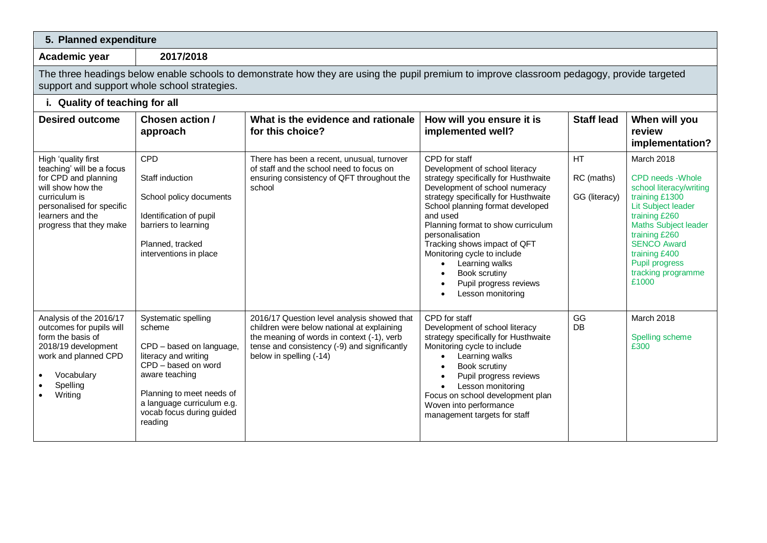### **5. Planned expenditure**

**Academic year 2017/2018**

The three headings below enable schools to demonstrate how they are using the pupil premium to improve classroom pedagogy, provide targeted support and support whole school strategies.

## **i. Quality of teaching for all**

| <b>Desired outcome</b>                                                                                                                                                                     | Chosen action /<br>approach                                                                                                                                                                                                   | What is the evidence and rationale<br>for this choice?                                                                                                                                                             | How will you ensure it is<br>implemented well?                                                                                                                                                                                                                                                                                                                                                                              | <b>Staff lead</b>                 | When will you<br>review<br>implementation?                                                                                                                                                                                                                         |
|--------------------------------------------------------------------------------------------------------------------------------------------------------------------------------------------|-------------------------------------------------------------------------------------------------------------------------------------------------------------------------------------------------------------------------------|--------------------------------------------------------------------------------------------------------------------------------------------------------------------------------------------------------------------|-----------------------------------------------------------------------------------------------------------------------------------------------------------------------------------------------------------------------------------------------------------------------------------------------------------------------------------------------------------------------------------------------------------------------------|-----------------------------------|--------------------------------------------------------------------------------------------------------------------------------------------------------------------------------------------------------------------------------------------------------------------|
| High 'quality first<br>teaching' will be a focus<br>for CPD and planning<br>will show how the<br>curriculum is<br>personalised for specific<br>learners and the<br>progress that they make | CPD<br>Staff induction<br>School policy documents<br>Identification of pupil<br>barriers to learning<br>Planned, tracked<br>interventions in place                                                                            | There has been a recent, unusual, turnover<br>of staff and the school need to focus on<br>ensuring consistency of QFT throughout the<br>school                                                                     | CPD for staff<br>Development of school literacy<br>strategy specifically for Husthwaite<br>Development of school numeracy<br>strategy specifically for Husthwaite<br>School planning format developed<br>and used<br>Planning format to show curriculum<br>personalisation<br>Tracking shows impact of QFT<br>Monitoring cycle to include<br>Learning walks<br>Book scrutiny<br>Pupil progress reviews<br>Lesson monitoring | HT<br>RC (maths)<br>GG (literacy) | March 2018<br>CPD needs - Whole<br>school literacy/writing<br>training £1300<br><b>Lit Subject leader</b><br>training £260<br><b>Maths Subject leader</b><br>training £260<br><b>SENCO Award</b><br>training £400<br>Pupil progress<br>tracking programme<br>£1000 |
| Analysis of the 2016/17<br>outcomes for pupils will<br>form the basis of<br>2018/19 development<br>work and planned CPD<br>Vocabulary<br>Spelling<br>Writing                               | Systematic spelling<br>scheme<br>CPD - based on language,<br>literacy and writing<br>CPD - based on word<br>aware teaching<br>Planning to meet needs of<br>a language curriculum e.g.<br>vocab focus during guided<br>reading | 2016/17 Question level analysis showed that<br>children were below national at explaining<br>the meaning of words in context (-1), verb<br>tense and consistency (-9) and significantly<br>below in spelling (-14) | CPD for staff<br>Development of school literacy<br>strategy specifically for Husthwaite<br>Monitoring cycle to include<br>Learning walks<br>Book scrutiny<br>Pupil progress reviews<br>Lesson monitoring<br>Focus on school development plan<br>Woven into performance<br>management targets for staff                                                                                                                      | GG<br>DB                          | March 2018<br>Spelling scheme<br>£300                                                                                                                                                                                                                              |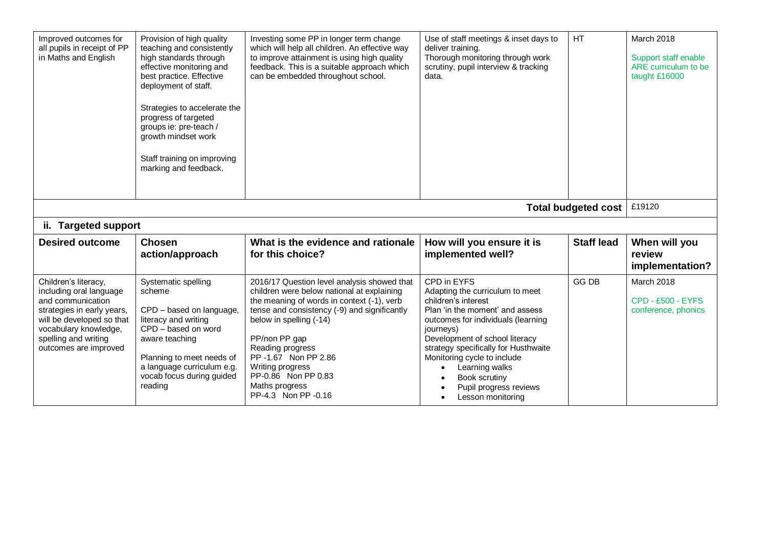| Improved outcomes for<br>all pupils in receipt of PP<br>in Maths and English                                                                                                                              | Provision of high quality<br>teaching and consistently<br>high standards through<br>effective monitoring and<br>best practice. Effective<br>deployment of staff.<br>Strategies to accelerate the<br>progress of targeted<br>groups ie: pre-teach /<br>growth mindset work<br>Staff training on improving<br>marking and feedback. | Investing some PP in longer term change<br>which will help all children. An effective way<br>to improve attainment is using high quality<br>feedback. This is a suitable approach which<br>can be embedded throughout school.                                                                                                                                       | Use of staff meetings & inset days to<br>deliver training.<br>Thorough monitoring through work<br>scrutiny, pupil interview & tracking<br>data.                                                                                                                                                                                                        | <b>HT</b>         | March 2018<br>Support staff enable<br>ARE curriculum to be<br>taught £16000 |  |  |  |  |
|-----------------------------------------------------------------------------------------------------------------------------------------------------------------------------------------------------------|-----------------------------------------------------------------------------------------------------------------------------------------------------------------------------------------------------------------------------------------------------------------------------------------------------------------------------------|---------------------------------------------------------------------------------------------------------------------------------------------------------------------------------------------------------------------------------------------------------------------------------------------------------------------------------------------------------------------|--------------------------------------------------------------------------------------------------------------------------------------------------------------------------------------------------------------------------------------------------------------------------------------------------------------------------------------------------------|-------------------|-----------------------------------------------------------------------------|--|--|--|--|
|                                                                                                                                                                                                           | £19120<br><b>Total budgeted cost</b>                                                                                                                                                                                                                                                                                              |                                                                                                                                                                                                                                                                                                                                                                     |                                                                                                                                                                                                                                                                                                                                                        |                   |                                                                             |  |  |  |  |
|                                                                                                                                                                                                           | ii. Targeted support                                                                                                                                                                                                                                                                                                              |                                                                                                                                                                                                                                                                                                                                                                     |                                                                                                                                                                                                                                                                                                                                                        |                   |                                                                             |  |  |  |  |
| <b>Desired outcome</b>                                                                                                                                                                                    | <b>Chosen</b><br>action/approach                                                                                                                                                                                                                                                                                                  | What is the evidence and rationale<br>for this choice?                                                                                                                                                                                                                                                                                                              | How will you ensure it is<br>implemented well?                                                                                                                                                                                                                                                                                                         | <b>Staff lead</b> | When will you<br>review<br>implementation?                                  |  |  |  |  |
| Children's literacy,<br>including oral language<br>and communication<br>strategies in early years,<br>will be developed so that<br>vocabulary knowledge,<br>spelling and writing<br>outcomes are improved | Systematic spelling<br>scheme<br>CPD - based on language,<br>literacy and writing<br>CPD - based on word<br>aware teaching<br>Planning to meet needs of<br>a language curriculum e.g.<br>vocab focus during guided<br>reading                                                                                                     | 2016/17 Question level analysis showed that<br>children were below national at explaining<br>the meaning of words in context (-1), verb<br>tense and consistency (-9) and significantly<br>below in spelling (-14)<br>PP/non PP gap<br>Reading progress<br>PP - 1.67 Non PP 2.86<br>Writing progress<br>PP-0.86 Non PP 0.83<br>Maths progress<br>PP-4.3 Non PP-0.16 | CPD in EYFS<br>Adapting the curriculum to meet<br>children's interest<br>Plan 'in the moment' and assess<br>outcomes for individuals (learning<br>journeys)<br>Development of school literacy<br>strategy specifically for Husthwaite<br>Monitoring cycle to include<br>Learning walks<br>Book scrutiny<br>Pupil progress reviews<br>Lesson monitoring | <b>GG DB</b>      | March 2018<br><b>CPD - £500 - EYFS</b><br>conference, phonics               |  |  |  |  |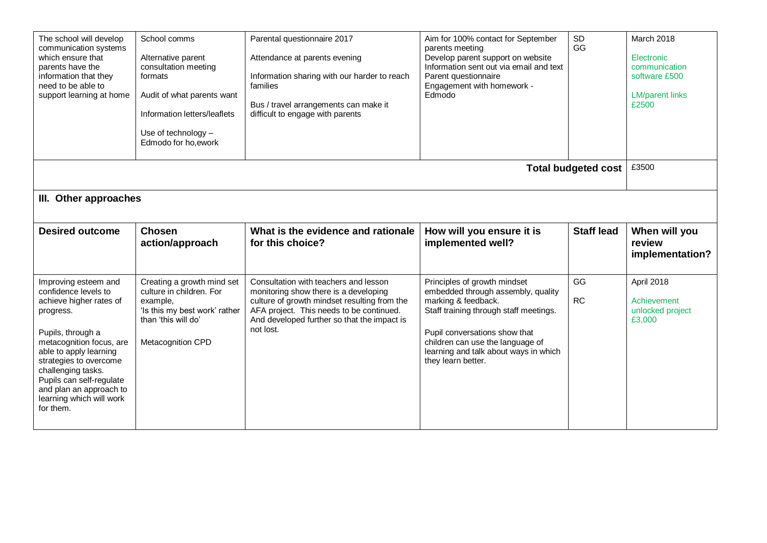| The school will develop<br>communication systems<br>which ensure that<br>parents have the<br>information that they<br>need to be able to<br>support learning at home                                                                                                                                            | School comms<br>Alternative parent<br>consultation meeting<br>formats<br>Audit of what parents want<br>Information letters/leaflets<br>Use of technology $-$<br>Edmodo for ho, ework | Parental questionnaire 2017<br>Attendance at parents evening<br>Information sharing with our harder to reach<br>families<br>Bus / travel arrangements can make it<br>difficult to engage with parents                                  | Aim for 100% contact for September<br>parents meeting<br>Develop parent support on website<br>Information sent out via email and text<br>Parent questionnaire<br>Engagement with homework -<br>Edmodo                                                                   | SD<br>GG                   | March 2018<br>Electronic<br>communication<br>software £500<br><b>LM/parent links</b><br>£2500 |  |
|-----------------------------------------------------------------------------------------------------------------------------------------------------------------------------------------------------------------------------------------------------------------------------------------------------------------|--------------------------------------------------------------------------------------------------------------------------------------------------------------------------------------|----------------------------------------------------------------------------------------------------------------------------------------------------------------------------------------------------------------------------------------|-------------------------------------------------------------------------------------------------------------------------------------------------------------------------------------------------------------------------------------------------------------------------|----------------------------|-----------------------------------------------------------------------------------------------|--|
|                                                                                                                                                                                                                                                                                                                 |                                                                                                                                                                                      |                                                                                                                                                                                                                                        |                                                                                                                                                                                                                                                                         | <b>Total budgeted cost</b> | £3500                                                                                         |  |
| III. Other approaches                                                                                                                                                                                                                                                                                           |                                                                                                                                                                                      |                                                                                                                                                                                                                                        |                                                                                                                                                                                                                                                                         |                            |                                                                                               |  |
| <b>Desired outcome</b>                                                                                                                                                                                                                                                                                          | <b>Chosen</b><br>action/approach                                                                                                                                                     | What is the evidence and rationale<br>for this choice?                                                                                                                                                                                 | How will you ensure it is<br>implemented well?                                                                                                                                                                                                                          | <b>Staff lead</b>          | When will you<br>review<br>implementation?                                                    |  |
| Improving esteem and<br>confidence levels to<br>achieve higher rates of<br>progress.<br>Pupils, through a<br>metacognition focus, are<br>able to apply learning<br>strategies to overcome<br>challenging tasks.<br>Pupils can self-regulate<br>and plan an approach to<br>learning which will work<br>for them. | Creating a growth mind set<br>culture in children. For<br>example,<br>'Is this my best work' rather<br>than 'this will do'<br>Metacognition CPD                                      | Consultation with teachers and lesson<br>monitoring show there is a developing<br>culture of growth mindset resulting from the<br>AFA project. This needs to be continued.<br>And developed further so that the impact is<br>not lost. | Principles of growth mindset<br>embedded through assembly, quality<br>marking & feedback.<br>Staff training through staff meetings.<br>Pupil conversations show that<br>children can use the language of<br>learning and talk about ways in which<br>they learn better. | GG<br><b>RC</b>            | April 2018<br>Achievement<br>unlocked project<br>£3,000                                       |  |